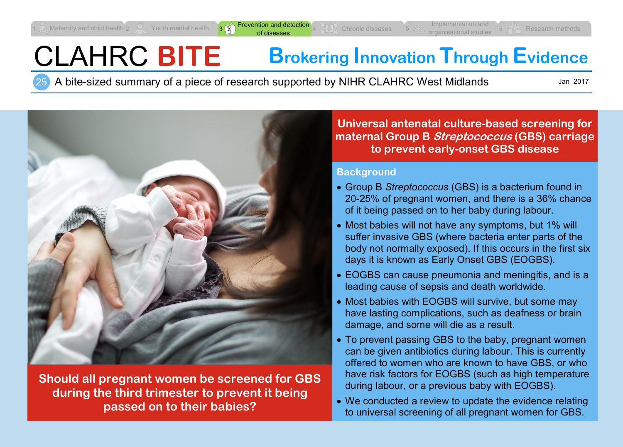$3 \n\binom{4}{1}$ 

# CLAHRC **BITE Brokering Innovation Through Evidence**

25 A bite-sized summary of a piece of research supported by NIHR CLAHRC West Midlands

Jan 2017



**Should all pregnant women be screened for GBS during the third trimester to prevent it being passed on to their babies?**

**Universal antenatal culture-based screening for maternal Group B Streptococcus (GBS) carriage to prevent early-onset GBS disease**

#### **Background**

- Group B *Streptococcus* (GBS) is a bacterium found in 20-25% of pregnant women, and there is a 36% chance of it being passed on to her baby during labour.
- Most babies will not have any symptoms, but 1% will suffer invasive GBS (where bacteria enter parts of the body not normally exposed). If this occurs in the first six days it is known as Early Onset GBS (EOGBS).
- EOGBS can cause pneumonia and meningitis, and is a leading cause of sepsis and death worldwide.
- Most babies with EOGBS will survive, but some may have lasting complications, such as deafness or brain damage, and some will die as a result.
- To prevent passing GBS to the baby, pregnant women can be given antibiotics during labour. This is currently offered to women who are known to have GBS, or who have risk factors for EOGBS (such as high temperature during labour, or a previous baby with EOGBS).
- We conducted a review to update the evidence relating to universal screening of all pregnant women for GBS.